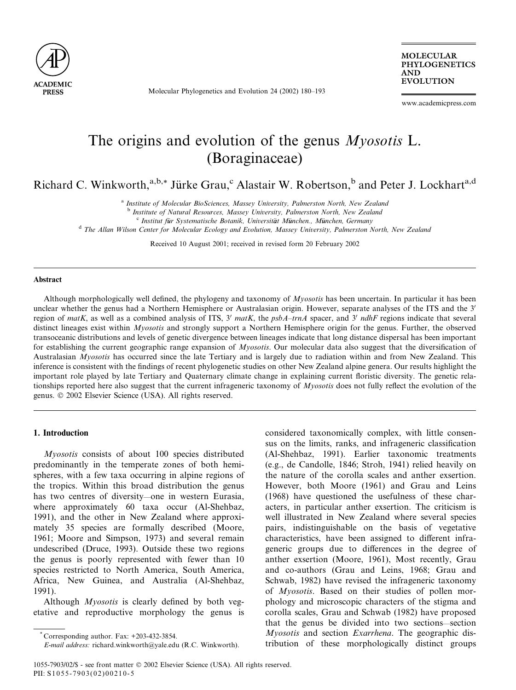

Molecular Phylogenetics and Evolution 24 (2002) 180–193

**MOLECULAR** PHYLOGENETICS AND EVOLUTION

www.academicpress.com

# The origins and evolution of the genus *Myosotis* L. (Boraginaceae)

Richard C. Winkworth,<sup>a,b,\*</sup> Jürke Grau,<sup>c</sup> Alastair W. Robertson,<sup>b</sup> and Peter J. Lockhart<sup>a,d</sup>

<sup>a</sup> Institute of Molecular BioSciences, Massey University, Palmerston North, New Zealand

 $c$  Institut für Systematische Botanik, Universität München, München, Germany

<sup>d</sup> The Allan Wilson Center for Molecular Ecology and Evolution, Massey University, Palmerston North, New Zealand

Received 10 August 2001; received in revised form 20 February 2002

#### Abstract

Although morphologically well defined, the phylogeny and taxonomy of  $Myosotis$  has been uncertain. In particular it has been unclear whether the genus had a Northern Hemisphere or Australasian origin. However, separate analyses of the ITS and the 3<sup>1</sup> region of matK, as well as a combined analysis of ITS,  $3'$  matK, the psbA-trnA spacer, and  $3'$  ndhF regions indicate that several distinct lineages exist within *Myosotis* and strongly support a Northern Hemisphere origin for the genus. Further, the observed transoceanic distributions and levels of genetic divergence between lineages indicate that long distance dispersal has been important for establishing the current geographic range expansion of *Myosotis*. Our molecular data also suggest that the diversification of Australasian Myosotis has occurred since the late Tertiary and is largely due to radiation within and from New Zealand. This inference is consistent with the findings of recent phylogenetic studies on other New Zealand alpine genera. Our results highlight the important role played by late Tertiary and Quaternary climate change in explaining current floristic diversity. The genetic relationships reported here also suggest that the current infrageneric taxonomy of  $Myosotis$  does not fully reflect the evolution of the genus. © 2002 Elsevier Science (USA). All rights reserved.

# 1. Introduction

Myosotis consists of about 100 species distributed predominantly in the temperate zones of both hemispheres, with a few taxa occurring in alpine regions of the tropics. Within this broad distribution the genus has two centres of diversity—one in western Eurasia, where approximately 60 taxa occur (Al-Shehbaz, 1991), and the other in New Zealand where approximately 35 species are formally described (Moore, 1961; Moore and Simpson, 1973) and several remain undescribed (Druce, 1993). Outside these two regions the genus is poorly represented with fewer than 10 species restricted to North America, South America, Africa, New Guinea, and Australia (Al-Shehbaz, 1991).

Although *Myosotis* is clearly defined by both vegetative and reproductive morphology the genus is considered taxonomically complex, with little consensus on the limits, ranks, and infrageneric classification (Al-Shehbaz, 1991). Earlier taxonomic treatments (e.g., de Candolle, 1846; Stroh, 1941) relied heavily on the nature of the corolla scales and anther exsertion. However, both Moore (1961) and Grau and Leins (1968) have questioned the usefulness of these characters, in particular anther exsertion. The criticism is well illustrated in New Zealand where several species pairs, indistinguishable on the basis of vegetative characteristics, have been assigned to different infrageneric groups due to differences in the degree of anther exsertion (Moore, 1961), Most recently, Grau and co-authors (Grau and Leins, 1968; Grau and Schwab, 1982) have revised the infrageneric taxonomy of Myosotis. Based on their studies of pollen morphology and microscopic characters of the stigma and corolla scales, Grau and Schwab (1982) have proposed that the genus be divided into two sections—section Myosotis and section Exarrhena. The geographic distribution of these morphologically distinct groups

<sup>&</sup>lt;sup>b</sup> Institute of Natural Resources, Massey University, Palmerston North, New Zealand

 $*$  Corresponding author. Fax:  $+203-432-3854$ .

E-mail address: richard.winkworth@yale.edu (R.C. Winkworth).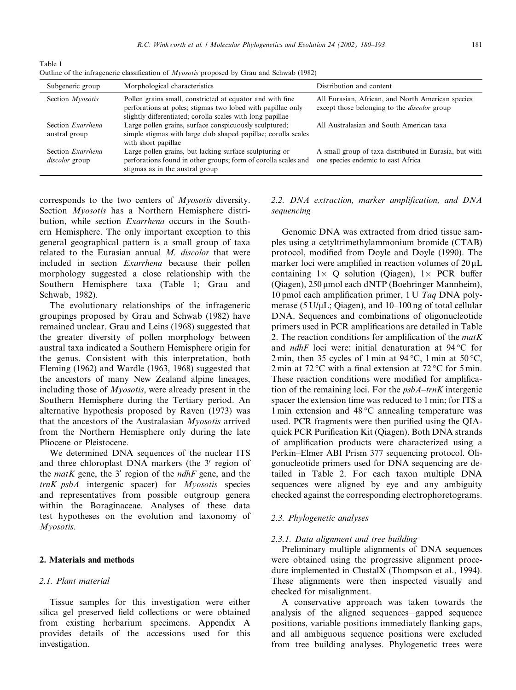perforations found in other groups; form of corolla scales and one species endemic to east Africa

| Outline of the infrageneric classification of <i>Myosotis</i> proposed by Grau and Schwab (1982) |                                                                                                                                                                                        |                                                                                                          |  |  |
|--------------------------------------------------------------------------------------------------|----------------------------------------------------------------------------------------------------------------------------------------------------------------------------------------|----------------------------------------------------------------------------------------------------------|--|--|
| Subgeneric group                                                                                 | Morphological characteristics                                                                                                                                                          | Distribution and content                                                                                 |  |  |
| Section <i>Myosotis</i>                                                                          | Pollen grains small, constricted at equator and with fine<br>perforations at poles; stigmas two lobed with papillae only<br>slightly differentiated; corolla scales with long papillae | All Eurasian, African, and North American species<br>except those belonging to the <i>discolor</i> group |  |  |
| Section <i>Exarrhena</i><br>austral group                                                        | Large pollen grains, surface conspicuously sculptured;<br>simple stigmas with large club shaped papillae; corolla scales<br>with short papillae                                        | All Australasian and South American taxa                                                                 |  |  |
| Section <i>Exarrhena</i>                                                                         | Large pollen grains, but lacking surface sculpturing or                                                                                                                                | A small group of taxa distributed in Eurasia, but with                                                   |  |  |

corresponds to the two centers of Myosotis diversity. Section *Myosotis* has a Northern Hemisphere distribution, while section Exarrhena occurs in the Southern Hemisphere. The only important exception to this general geographical pattern is a small group of taxa related to the Eurasian annual M. discolor that were included in section Exarrhena because their pollen morphology suggested a close relationship with the Southern Hemisphere taxa (Table 1; Grau and Schwab, 1982).

stigmas as in the austral group

The evolutionary relationships of the infrageneric groupings proposed by Grau and Schwab (1982) have remained unclear. Grau and Leins (1968) suggested that the greater diversity of pollen morphology between austral taxa indicated a Southern Hemisphere origin for the genus. Consistent with this interpretation, both Fleming (1962) and Wardle (1963, 1968) suggested that the ancestors of many New Zealand alpine lineages, including those of Myosotis, were already present in the Southern Hemisphere during the Tertiary period. An alternative hypothesis proposed by Raven (1973) was that the ancestors of the Australasian Myosotis arrived from the Northern Hemisphere only during the late Pliocene or Pleistocene.

We determined DNA sequences of the nuclear ITS and three chloroplast DNA markers (the 3' region of the *matK* gene, the 3' region of the *ndhF* gene, and the  $trnK-psba$  intergenic spacer) for *Myosotis* species and representatives from possible outgroup genera within the Boraginaceae. Analyses of these data test hypotheses on the evolution and taxonomy of Myosotis.

#### 2. Materials and methods

# 2.1. Plant material

Table 1

discolor group

Tissue samples for this investigation were either silica gel preserved field collections or were obtained from existing herbarium specimens. Appendix A provides details of the accessions used for this investigation.

# 2.2. DNA extraction, marker amplification, and DNA sequencing

Genomic DNA was extracted from dried tissue samples using a cetyltrimethylammonium bromide (CTAB) protocol, modified from Doyle and Doyle (1990). The marker loci were amplified in reaction volumes of  $20 \mu L$ containing  $1 \times Q$  solution (Qiagen),  $1 \times PCR$  buffer (Qiagen), 250 μmol each dNTP (Boehringer Mannheim), 10 pmol each amplification primer, 1 U Taq DNA polymerase (5 U/ $\mu$ L; Qiagen), and 10–100 ng of total cellular DNA. Sequences and combinations of oligonucleotide primers used in PCR amplifications are detailed in Table 2. The reaction conditions for amplification of the  $m \alpha t K$ and *ndhF* loci were: initial denaturation at  $94^{\circ}$ C for 2 min, then 35 cycles of 1 min at 94 °C, 1 min at 50 °C, 2 min at 72 °C with a final extension at 72 °C for 5 min. These reaction conditions were modified for amplification of the remaining loci. For the  $psbA-trnK$  intergenic spacer the extension time was reduced to 1 min; for ITS a 1 min extension and  $48\,^{\circ}\text{C}$  annealing temperature was used. PCR fragments were then purified using the QIAquick PCR Purification Kit (Qiagen). Both DNA strands of amplification products were characterized using a Perkin–Elmer ABI Prism 377 sequencing protocol. Oligonucleotide primers used for DNA sequencing are detailed in Table 2. For each taxon multiple DNA sequences were aligned by eye and any ambiguity checked against the corresponding electrophoretograms.

# 2.3. Phylogenetic analyses

#### 2.3.1. Data alignment and tree building

Preliminary multiple alignments of DNA sequences were obtained using the progressive alignment procedure implemented in ClustalX (Thompson et al., 1994). These alignments were then inspected visually and checked for misalignment.

A conservative approach was taken towards the analysis of the aligned sequences—gapped sequence positions, variable positions immediately flanking gaps, and all ambiguous sequence positions were excluded from tree building analyses. Phylogenetic trees were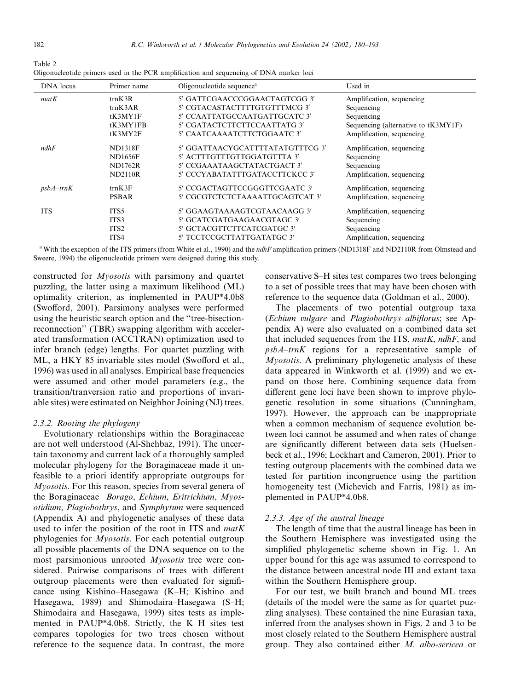| Table 2 |  |                                                                                         |  |
|---------|--|-----------------------------------------------------------------------------------------|--|
|         |  | Oligonucleotide primers used in the PCR amplification and sequencing of DNA marker loci |  |

| DNA locus   | Primer name      | Oligonucleotide sequence <sup>a</sup> | Used in                             |
|-------------|------------------|---------------------------------------|-------------------------------------|
| matK        | trnK3R           | 5' GATTCGAACCCGGAACTAGTCGG 3'         | Amplification, sequencing           |
|             | trnK3AR          | 5' CGTACASTACTTTTGTGTTTMCG 3'         | Sequencing                          |
|             | tK3MY1F          | 5' CCAATTATGCCAATGATTGCATC 3'         | Sequencing                          |
|             | tK3MY1FB         | 5' CGATACTCTTCTTCCAATTATG 3'          | Sequencing (alternative to tK3MY1F) |
|             | tK3MY2F          | 5' CAATCAAAATCTTCTGGAATC 3'           | Amplification, sequencing           |
| ndhF        | <b>ND1318F</b>   | 5' GGATTAACYGCATTTTATATGTTTCG 3'      | Amplification, sequencing           |
|             | <b>ND1656F</b>   | 5' ACTTTGTTTGTTGGATGTTTA 3'           | Sequencing                          |
|             | <b>ND1762R</b>   | 5' CCGAAATAAGCTATACTGACT 3'           | Sequencing                          |
|             | <b>ND2110R</b>   | 5' CCCYABATATTTGATACCTTCKCC 3'        | Amplification, sequencing           |
| $psbA-trnK$ | trnK3F           | 5' CCGACTAGTTCCGGGTTCGAATC 3'         | Amplification, sequencing           |
|             | <b>PSBAR</b>     | 5' CGCGTCTCTCTAAAATTGCAGTCAT 3'       | Amplification, sequencing           |
| <b>ITS</b>  | ITS5             | 5' GGAAGTAAAAGTCGTAACAAGG 3'          | Amplification, sequencing           |
|             | ITS3             | 5' GCATCGATGAAGAACGTAGC 3'            | Sequencing                          |
|             | ITS <sub>2</sub> | 5' GCTACGTTCTTCATCGATGC 3'            | Sequencing                          |
|             | ITS4             | 5' TCCTCCGCTTATTGATATGC 3'            | Amplification, sequencing           |

<sup>a</sup> With the exception of the ITS primers (from White et al., 1990) and the *ndhF* amplification primers (ND1318F and ND2110R from Olmstead and Sweere, 1994) the oligonucleotide primers were designed during this study.

constructed for Myosotis with parsimony and quartet puzzling, the latter using a maximum likelihood (ML) optimality criterion, as implemented in PAUP\*4.0b8 (Swofford, 2001). Parsimony analyses were performed using the heuristic search option and the ''tree-bisectionreconnection'' (TBR) swapping algorithm with accelerated transformation (ACCTRAN) optimization used to infer branch (edge) lengths. For quartet puzzling with ML, a HKY 85 invariable sites model (Swofford et al., 1996) was used in all analyses. Empirical base frequencies were assumed and other model parameters (e.g., the transition/tranversion ratio and proportions of invariable sites) were estimated on Neighbor Joining (NJ) trees.

#### 2.3.2. Rooting the phylogeny

Evolutionary relationships within the Boraginaceae are not well understood (Al-Shehbaz, 1991). The uncertain taxonomy and current lack of a thoroughly sampled molecular phylogeny for the Boraginaceae made it unfeasible to a priori identify appropriate outgroups for Myosotis. For this reason, species from several genera of the Boraginaceae—Borago, Echium, Eritrichium, Myosotidium, Plagiobothrys, and Symphytum were sequenced (Appendix A) and phylogenetic analyses of these data used to infer the position of the root in ITS and  $m \alpha t K$ phylogenies for Myosotis. For each potential outgroup all possible placements of the DNA sequence on to the most parsimonious unrooted Myosotis tree were considered. Pairwise comparisons of trees with different outgroup placements were then evaluated for significance using Kishino–Hasegawa (K–H; Kishino and Hasegawa, 1989) and Shimodaira–Hasegawa (S–H; Shimodaira and Hasegawa, 1999) sites tests as implemented in PAUP\*4.0b8. Strictly, the K–H sites test compares topologies for two trees chosen without reference to the sequence data. In contrast, the more conservative S–H sites test compares two trees belonging to a set of possible trees that may have been chosen with reference to the sequence data (Goldman et al., 2000).

The placements of two potential outgroup taxa (Echium vulgare and Plagiobothrys albiflorus; see Appendix A) were also evaluated on a combined data set that included sequences from the ITS,  $m \in K$ , ndhF, and psbA–trnK regions for a representative sample of Myosotis. A preliminary phylogenetic analysis of these data appeared in Winkworth et al. (1999) and we expand on those here. Combining sequence data from different gene loci have been shown to improve phylogenetic resolution in some situations (Cunningham, 1997). However, the approach can be inappropriate when a common mechanism of sequence evolution between loci cannot be assumed and when rates of change are significantly different between data sets (Huelsenbeck et al., 1996; Lockhart and Cameron, 2001). Prior to testing outgroup placements with the combined data we tested for partition incongruence using the partition homogeneity test (Michevich and Farris, 1981) as implemented in PAUP\*4.0b8.

#### 2.3.3. Age of the austral lineage

The length of time that the austral lineage has been in the Southern Hemisphere was investigated using the simplified phylogenetic scheme shown in Fig. 1. An upper bound for this age was assumed to correspond to the distance between ancestral node III and extant taxa within the Southern Hemisphere group.

For our test, we built branch and bound ML trees (details of the model were the same as for quartet puzzling analyses). These contained the nine Eurasian taxa, inferred from the analyses shown in Figs. 2 and 3 to be most closely related to the Southern Hemisphere austral group. They also contained either M. albo-sericea or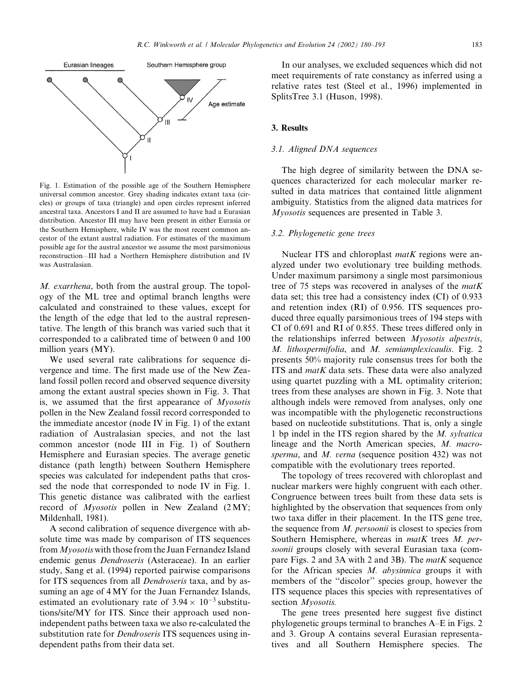

Fig. 1. Estimation of the possible age of the Southern Hemisphere universal common ancestor. Grey shading indicates extant taxa (circles) or groups of taxa (triangle) and open circles represent inferred ancestral taxa. Ancestors I and II are assumed to have had a Eurasian distribution. Ancestor III may have been present in either Eurasia or the Southern Hemisphere, while IV was the most recent common ancestor of the extant austral radiation. For estimates of the maximum possible age for the austral ancestor we assume the most parsimonious reconstruction—III had a Northern Hemisphere distribution and IV was Australasian.

M. exarrhena, both from the austral group. The topology of the ML tree and optimal branch lengths were calculated and constrained to these values, except for the length of the edge that led to the austral representative. The length of this branch was varied such that it corresponded to a calibrated time of between 0 and 100 million years (MY).

We used several rate calibrations for sequence divergence and time. The first made use of the New Zealand fossil pollen record and observed sequence diversity among the extant austral species shown in Fig. 3. That is, we assumed that the first appearance of Myosotis pollen in the New Zealand fossil record corresponded to the immediate ancestor (node IV in Fig. 1) of the extant radiation of Australasian species, and not the last common ancestor (node III in Fig. 1) of Southern Hemisphere and Eurasian species. The average genetic distance (path length) between Southern Hemisphere species was calculated for independent paths that crossed the node that corresponded to node IV in Fig. 1. This genetic distance was calibrated with the earliest record of Myosotis pollen in New Zealand (2MY; Mildenhall, 1981).

A second calibration of sequence divergence with absolute time was made by comparison of ITS sequences from *Myosotis* with those from the Juan Fernandez Island endemic genus Dendroseris (Asteraceae). In an earlier study, Sang et al. (1994) reported pairwise comparisons for ITS sequences from all *Dendroseris* taxa, and by assuming an age of 4 MY for the Juan Fernandez Islands, estimated an evolutionary rate of  $3.94 \times 10^{-3}$  substitutions/site/MY for ITS. Since their approach used nonindependent paths between taxa we also re-calculated the substitution rate for *Dendroseris* ITS sequences using independent paths from their data set.

In our analyses, we excluded sequences which did not meet requirements of rate constancy as inferred using a relative rates test (Steel et al., 1996) implemented in SplitsTree 3.1 (Huson, 1998).

#### 3. Results

#### 3.1. Aligned DNA sequences

The high degree of similarity between the DNA sequences characterized for each molecular marker resulted in data matrices that contained little alignment ambiguity. Statistics from the aligned data matrices for Myosotis sequences are presented in Table 3.

#### 3.2. Phylogenetic gene trees

Nuclear ITS and chloroplast *matK* regions were analyzed under two evolutionary tree building methods. Under maximum parsimony a single most parsimonious tree of 75 steps was recovered in analyses of the  $m \alpha t K$ data set; this tree had a consistency index (CI) of 0.933 and retention index (RI) of 0.956. ITS sequences produced three equally parsimonious trees of 194 steps with CI of 0.691 and RI of 0.855. These trees differed only in the relationships inferred between Myosotis alpestris, M. lithospermifolia, and M. semiamplexicaulis. Fig. 2 presents 50% majority rule consensus trees for both the ITS and  $matK$  data sets. These data were also analyzed using quartet puzzling with a ML optimality criterion; trees from these analyses are shown in Fig. 3. Note that although indels were removed from analyses, only one was incompatible with the phylogenetic reconstructions based on nucleotide substitutions. That is, only a single 1 bp indel in the ITS region shared by the M. sylvatica lineage and the North American species, M. macrosperma, and M. verna (sequence position 432) was not compatible with the evolutionary trees reported.

The topology of trees recovered with chloroplast and nuclear markers were highly congruent with each other. Congruence between trees built from these data sets is highlighted by the observation that sequences from only two taxa differ in their placement. In the ITS gene tree, the sequence from M. persoonii is closest to species from Southern Hemisphere, whereas in matK trees M. persoonii groups closely with several Eurasian taxa (compare Figs. 2 and 3A with 2 and 3B). The  $matK$  sequence for the African species M. abysinnica groups it with members of the ''discolor'' species group, however the ITS sequence places this species with representatives of section *Myosotis*.

The gene trees presented here suggest five distinct phylogenetic groups terminal to branches A–E in Figs. 2 and 3. Group A contains several Eurasian representatives and all Southern Hemisphere species. The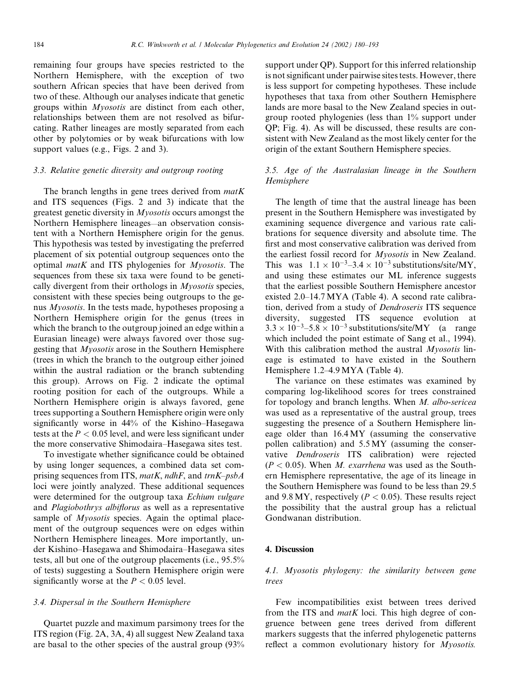remaining four groups have species restricted to the Northern Hemisphere, with the exception of two southern African species that have been derived from two of these. Although our analyses indicate that genetic groups within Myosotis are distinct from each other, relationships between them are not resolved as bifurcating. Rather lineages are mostly separated from each other by polytomies or by weak bifurcations with low support values (e.g., Figs. 2 and 3).

# 3.3. Relative genetic diversity and outgroup rooting

The branch lengths in gene trees derived from  $matK$ and ITS sequences (Figs. 2 and 3) indicate that the greatest genetic diversity in Myosotis occurs amongst the Northern Hemisphere lineages—an observation consistent with a Northern Hemisphere origin for the genus. This hypothesis was tested by investigating the preferred placement of six potential outgroup sequences onto the optimal matK and ITS phylogenies for Myosotis. The sequences from these six taxa were found to be genetically divergent from their orthologs in Myosotis species, consistent with these species being outgroups to the genus Myosotis. In the tests made, hypotheses proposing a Northern Hemisphere origin for the genus (trees in which the branch to the outgroup joined an edge within a Eurasian lineage) were always favored over those suggesting that Myosotis arose in the Southern Hemisphere (trees in which the branch to the outgroup either joined within the austral radiation or the branch subtending this group). Arrows on Fig. 2 indicate the optimal rooting position for each of the outgroups. While a Northern Hemisphere origin is always favored, gene trees supporting a Southern Hemisphere origin were only significantly worse in 44% of the Kishino–Hasegawa tests at the  $P<0.05$  level, and were less significant under the more conservative Shimodaira–Hasegawa sites test.

To investigate whether significance could be obtained by using longer sequences, a combined data set comprising sequences from ITS, matK, ndhF, and  $trnK-psbA$ loci were jointly analyzed. These additional sequences were determined for the outgroup taxa Echium vulgare and Plagiobothrys albiflorus as well as a representative sample of *Myosotis* species. Again the optimal placement of the outgroup sequences were on edges within Northern Hemisphere lineages. More importantly, under Kishino–Hasegawa and Shimodaira–Hasegawa sites tests, all but one of the outgroup placements (i.e., 95.5% of tests) suggesting a Southern Hemisphere origin were significantly worse at the  $P < 0.05$  level.

#### 3.4. Dispersal in the Southern Hemisphere

Quartet puzzle and maximum parsimony trees for the ITS region (Fig. 2A, 3A, 4) all suggest New Zealand taxa are basal to the other species of the austral group (93% support under QP). Support for this inferred relationship is not significant under pairwise sites tests. However, there is less support for competing hypotheses. These include hypotheses that taxa from other Southern Hemisphere lands are more basal to the New Zealand species in outgroup rooted phylogenies (less than 1% support under QP; Fig. 4). As will be discussed, these results are consistent with New Zealand as the most likely center for the origin of the extant Southern Hemisphere species.

# 3.5. Age of the Australasian lineage in the Southern Hemisphere

The length of time that the austral lineage has been present in the Southern Hemisphere was investigated by examining sequence divergence and various rate calibrations for sequence diversity and absolute time. The first and most conservative calibration was derived from the earliest fossil record for Myosotis in New Zealand. This was  $1.1 \times 10^{-3}$  -3.4  $\times 10^{-3}$  substitutions/site/MY, and using these estimates our ML inference suggests that the earliest possible Southern Hemisphere ancestor existed 2.0–14.7 MYA (Table 4). A second rate calibration, derived from a study of Dendroseris ITS sequence diversity, suggested ITS sequence evolution at  $3.3 \times 10^{-3} - 5.8 \times 10^{-3}$  substitutions/site/MY (a range which included the point estimate of Sang et al., 1994). With this calibration method the austral *Myosotis* lineage is estimated to have existed in the Southern Hemisphere 1.2–4.9 MYA (Table 4).

The variance on these estimates was examined by comparing log-likelihood scores for trees constrained for topology and branch lengths. When M. albo-sericea was used as a representative of the austral group, trees suggesting the presence of a Southern Hemisphere lineage older than 16.4 MY (assuming the conservative pollen calibration) and 5.5 MY (assuming the conservative Dendroseris ITS calibration) were rejected  $(P < 0.05)$ . When M. exarrhena was used as the Southern Hemisphere representative, the age of its lineage in the Southern Hemisphere was found to be less than 29.5 and 9.8 MY, respectively ( $P < 0.05$ ). These results reject the possibility that the austral group has a relictual Gondwanan distribution.

#### 4. Discussion

# 4.1. Myosotis phylogeny: the similarity between gene trees

Few incompatibilities exist between trees derived from the ITS and  $m \in K$  loci. This high degree of congruence between gene trees derived from different markers suggests that the inferred phylogenetic patterns reflect a common evolutionary history for *Myosotis*.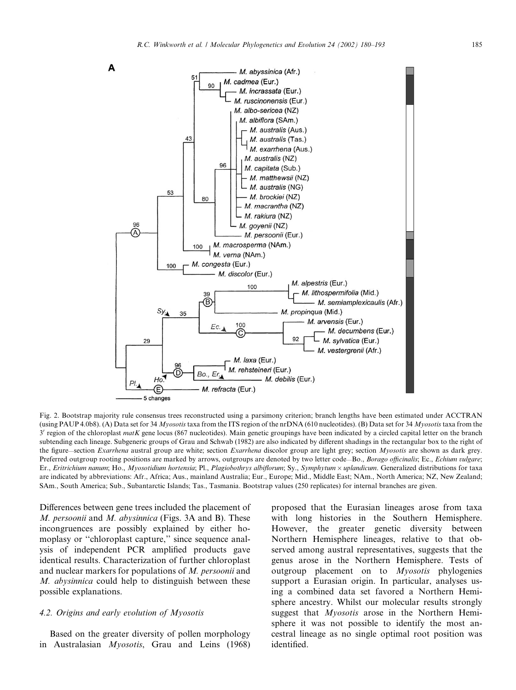

Fig. 2. Bootstrap majority rule consensus trees reconstructed using a parsimony criterion; branch lengths have been estimated under ACCTRAN (using PAUP 4.0b8). (A) Data set for 34 Myosotis taxa from the ITS region of the nrDNA (610 nucleotides). (B) Data set for 34 Myosotis taxa from the 3' region of the chloroplast matK gene locus (867 nucleotides). Main genetic groupings have been indicated by a circled capital letter on the branch subtending each lineage. Subgeneric groups of Grau and Schwab (1982) are also indicated by different shadings in the rectangular box to the right of the figure—section Exarrhena austral group are white; section Exarrhena discolor group are light grey; section Myosotis are shown as dark grey. Preferred outgroup rooting positions are marked by arrows, outgroups are denoted by two letter code-Bo., Borago officinalis; Ec., Echium vulgare; Er., Eritrichium nanum; Ho., Myosotidium hortensia; Pl., Plagiobothrys albiflorum; Sy., Symphytum × uplandicum. Generalized distributions for taxa are indicated by abbreviations: Afr., Africa; Aus., mainland Australia; Eur., Europe; Mid., Middle East; NAm., North America; NZ, New Zealand; SAm., South America; Sub., Subantarctic Islands; Tas., Tasmania. Bootstrap values (250 replicates) for internal branches are given.

Differences between gene trees included the placement of M. persoonii and M. abysinnica (Figs. 3A and B). These incongruences are possibly explained by either homoplasy or ''chloroplast capture,'' since sequence analysis of independent PCR amplified products gave identical results. Characterization of further chloroplast and nuclear markers for populations of M. persoonii and M. abysinnica could help to distinguish between these possible explanations.

# 4.2. Origins and early evolution of Myosotis

Based on the greater diversity of pollen morphology in Australasian Myosotis, Grau and Leins (1968)

proposed that the Eurasian lineages arose from taxa with long histories in the Southern Hemisphere. However, the greater genetic diversity between Northern Hemisphere lineages, relative to that observed among austral representatives, suggests that the genus arose in the Northern Hemisphere. Tests of outgroup placement on to Myosotis phylogenies support a Eurasian origin. In particular, analyses using a combined data set favored a Northern Hemisphere ancestry. Whilst our molecular results strongly suggest that *Myosotis* arose in the Northern Hemisphere it was not possible to identify the most ancestral lineage as no single optimal root position was identified.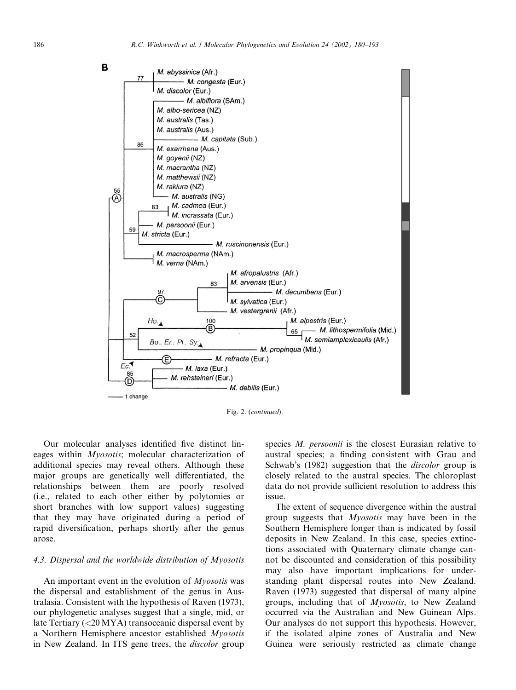

Fig. 2. (continued).

Our molecular analyses identified five distinct lineages within Myosotis; molecular characterization of additional species may reveal others. Although these major groups are genetically well differentiated, the relationships between them are poorly resolved (i.e., related to each other either by polytomies or short branches with low support values) suggesting that they may have originated during a period of rapid diversification, perhaps shortly after the genus arose.

#### 4.3. Dispersal and the worldwide distribution of Myosotis

An important event in the evolution of Myosotis was the dispersal and establishment of the genus in Australasia. Consistent with the hypothesis of Raven (1973), our phylogenetic analyses suggest that a single, mid, or late Tertiary (<20 MYA) transoceanic dispersal event by a Northern Hemisphere ancestor established Myosotis in New Zealand. In ITS gene trees, the discolor group

species M. persoonii is the closest Eurasian relative to austral species; a finding consistent with Grau and Schwab's (1982) suggestion that the *discolor* group is closely related to the austral species. The chloroplast data do not provide sufficient resolution to address this issue.

The extent of sequence divergence within the austral group suggests that Myosotis may have been in the Southern Hemisphere longer than is indicated by fossil deposits in New Zealand. In this case, species extinctions associated with Quaternary climate change cannot be discounted and consideration of this possibility may also have important implications for understanding plant dispersal routes into New Zealand. Raven (1973) suggested that dispersal of many alpine groups, including that of Myosotis, to New Zealand occurred via the Australian and New Guinean Alps. Our analyses do not support this hypothesis. However, if the isolated alpine zones of Australia and New Guinea were seriously restricted as climate change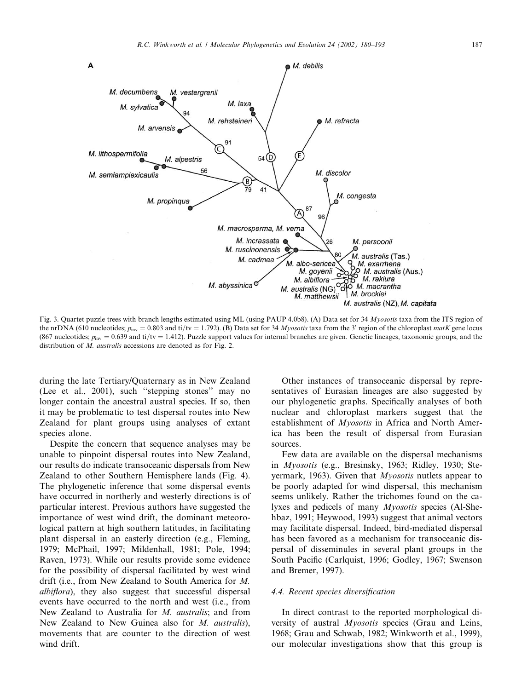

Fig. 3. Quartet puzzle trees with branch lengths estimated using ML (using PAUP 4.0b8). (A) Data set for 34 Myosotis taxa from the ITS region of the nrDNA (610 nucleotides;  $p_{inv} = 0.803$  and ti/tv = 1.792). (B) Data set for 34 Myosotis taxa from the 3' region of the chloroplast matK gene locus (867 nucleotides;  $p_{inv} = 0.639$  and ti/tv = 1.412). Puzzle support values for internal branches are given. Genetic lineages, taxonomic groups, and the distribution of M. *australis* accessions are denoted as for Fig. 2.

during the late Tertiary/Quaternary as in New Zealand (Lee et al., 2001), such ''stepping stones'' may no longer contain the ancestral austral species. If so, then it may be problematic to test dispersal routes into New Zealand for plant groups using analyses of extant species alone.

Despite the concern that sequence analyses may be unable to pinpoint dispersal routes into New Zealand, our results do indicate transoceanic dispersals from New Zealand to other Southern Hemisphere lands (Fig. 4). The phylogenetic inference that some dispersal events have occurred in northerly and westerly directions is of particular interest. Previous authors have suggested the importance of west wind drift, the dominant meteorological pattern at high southern latitudes, in facilitating plant dispersal in an easterly direction (e.g., Fleming, 1979; McPhail, 1997; Mildenhall, 1981; Pole, 1994; Raven, 1973). While our results provide some evidence for the possibility of dispersal facilitated by west wind drift (i.e., from New Zealand to South America for M. albiflora), they also suggest that successful dispersal events have occurred to the north and west (i.e., from New Zealand to Australia for M. australis; and from New Zealand to New Guinea also for *M. australis*), movements that are counter to the direction of west wind drift.

Other instances of transoceanic dispersal by representatives of Eurasian lineages are also suggested by our phylogenetic graphs. Specifically analyses of both nuclear and chloroplast markers suggest that the establishment of *Myosotis* in Africa and North America has been the result of dispersal from Eurasian sources.

Few data are available on the dispersal mechanisms in Myosotis (e.g., Bresinsky, 1963; Ridley, 1930; Steyermark, 1963). Given that *Myosotis* nutlets appear to be poorly adapted for wind dispersal, this mechanism seems unlikely. Rather the trichomes found on the calyxes and pedicels of many Myosotis species (Al-Shehbaz, 1991; Heywood, 1993) suggest that animal vectors may facilitate dispersal. Indeed, bird-mediated dispersal has been favored as a mechanism for transoceanic dispersal of disseminules in several plant groups in the South Pacific (Carlquist, 1996; Godley, 1967; Swenson and Bremer, 1997).

#### 4.4. Recent species diversification

In direct contrast to the reported morphological diversity of austral *Myosotis* species (Grau and Leins, 1968; Grau and Schwab, 1982; Winkworth et al., 1999), our molecular investigations show that this group is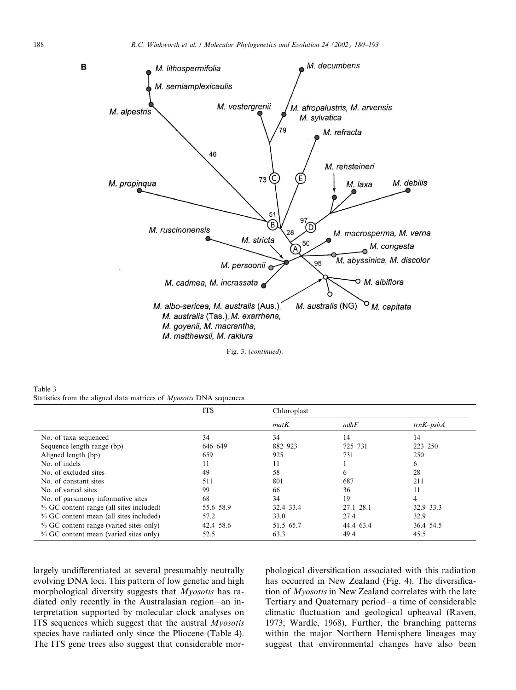

Fig. 3. (continued).

Table 3 Statistics from the aligned data matrices of Myosotis DNA sequences

|                                           | <b>ITS</b>    | Chloroplast   |               |               |
|-------------------------------------------|---------------|---------------|---------------|---------------|
|                                           |               | matK          | ndhF          | $trnK-psbA$   |
| No. of taxa sequenced                     | 34            | 34            | 14            | 14            |
| Sequence length range (bp)                | 646-649       | 882-923       | 725-731       | $223 - 250$   |
| Aligned length (bp)                       | 659           | 925           | 731           | 250           |
| No. of indels                             | 11            | 11            |               | 6             |
| No. of excluded sites                     | 49            | 58            | 6             | 28            |
| No. of constant sites                     | 511           | 801           | 687           | 211           |
| No. of varied sites                       | 99            | 66            | 36            | 11            |
| No. of parsimony informative sites        | 68            | 34            | 19            | 4             |
| % GC content range (all sites included)   | 55.6–58.9     | $32.4 - 33.4$ | $27.1 - 28.1$ | $32.9 - 33.3$ |
| % GC content mean (all sites included)    | 57.2          | 33.0          | 27.4          | 32.9          |
| $\%$ GC content range (varied sites only) | $42.4 - 58.6$ | $51.5 - 65.7$ | $44.4 - 63.4$ | $36.4 - 54.5$ |
| % GC content mean (varied sites only)     | 52.5          | 63.3          | 49.4          | 45.5          |

largely undifferentiated at several presumably neutrally evolving DNA loci. This pattern of low genetic and high morphological diversity suggests that Myosotis has radiated only recently in the Australasian region—an interpretation supported by molecular clock analyses on ITS sequences which suggest that the austral Myosotis species have radiated only since the Pliocene (Table 4). The ITS gene trees also suggest that considerable morphological diversification associated with this radiation has occurred in New Zealand (Fig. 4). The diversification of Myosotis in New Zealand correlates with the late Tertiary and Quaternary period—a time of considerable climatic fluctuation and geological upheaval (Raven, 1973; Wardle, 1968), Further, the branching patterns within the major Northern Hemisphere lineages may suggest that environmental changes have also been

B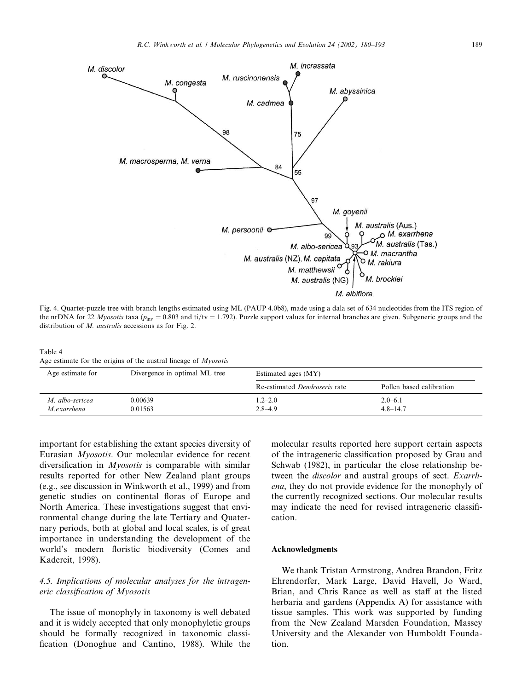

Fig. 4. Quartet-puzzle tree with branch lengths estimated using ML (PAUP 4.0b8), made using a dala set of 634 nucleotides from the ITS region of the nrDNA for 22 Myosotis taxa ( $p_{\text{inv}} = 0.803$  and ti/tv = 1.792). Puzzle support values for internal branches are given. Subgeneric groups and the distribution of M. *australis* accessions as for Fig. 2.

Table 4 Age estimate for the origins of the austral lineage of Myosotis

| Age estimate for               | Divergence in optimal ML tree | Estimated ages (MY)                  |                             |
|--------------------------------|-------------------------------|--------------------------------------|-----------------------------|
|                                |                               | Re-estimated <i>Dendroseris</i> rate | Pollen based calibration    |
| M. albo-sericea<br>M.exarrhena | 0.00639<br>0.01563            | $1.2 - 2.0$<br>$2.8 - 4.9$           | $2.0 - 6.1$<br>$4.8 - 14.7$ |

important for establishing the extant species diversity of Eurasian Myosotis. Our molecular evidence for recent diversification in *Myosotis* is comparable with similar results reported for other New Zealand plant groups (e.g., see discussion in Winkworth et al., 1999) and from genetic studies on continental floras of Europe and North America. These investigations suggest that environmental change during the late Tertiary and Quaternary periods, both at global and local scales, is of great importance in understanding the development of the world's modern floristic biodiversity (Comes and Kadereit, 1998).

# 4.5. Implications of molecular analyses for the intrageneric classification of Myosotis

The issue of monophyly in taxonomy is well debated and it is widely accepted that only monophyletic groups should be formally recognized in taxonomic classification (Donoghue and Cantino, 1988). While the molecular results reported here support certain aspects of the intrageneric classification proposed by Grau and Schwab (1982), in particular the close relationship between the *discolor* and austral groups of sect. *Exarrh*ena, they do not provide evidence for the monophyly of the currently recognized sections. Our molecular results may indicate the need for revised intrageneric classification.

# Acknowledgments

We thank Tristan Armstrong, Andrea Brandon, Fritz Ehrendorfer, Mark Large, David Havell, Jo Ward, Brian, and Chris Rance as well as staff at the listed herbaria and gardens (Appendix A) for assistance with tissue samples. This work was supported by funding from the New Zealand Marsden Foundation, Massey University and the Alexander von Humboldt Foundation.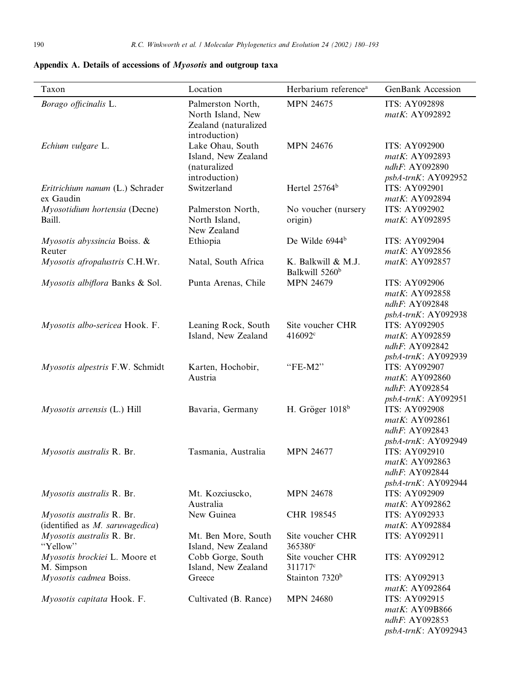| Taxon                                                        | Location                                                                        | Herbarium reference <sup>a</sup>                 | <b>GenBank Accession</b>                                                        |
|--------------------------------------------------------------|---------------------------------------------------------------------------------|--------------------------------------------------|---------------------------------------------------------------------------------|
| Borago officinalis L.                                        | Palmerston North,<br>North Island, New<br>Zealand (naturalized<br>introduction) | <b>MPN 24675</b>                                 | <b>ITS: AY092898</b><br>matK: AY092892                                          |
| Echium vulgare L.                                            | Lake Ohau, South<br>Island, New Zealand<br>(naturalized<br>introduction)        | <b>MPN 24676</b>                                 | <b>ITS: AY092900</b><br>matK: AY092893<br>ndhF: AY092890<br>psbA-trnK: AY092952 |
| Eritrichium nanum (L.) Schrader<br>ex Gaudin                 | Switzerland                                                                     | Hertel 25764 <sup>b</sup>                        | <b>ITS: AY092901</b><br>matK: AY092894                                          |
| Myosotidium hortensia (Decne)                                | Palmerston North,                                                               | No voucher (nursery                              | <b>ITS: AY092902</b>                                                            |
| Baill.                                                       | North Island,<br>New Zealand                                                    | origin)                                          | matK: AY092895                                                                  |
| Myosotis abyssincia Boiss. &                                 | Ethiopia                                                                        | De Wilde 6944 <sup>b</sup>                       | <b>ITS: AY092904</b>                                                            |
| Reuter                                                       |                                                                                 |                                                  | matK: AY092856                                                                  |
| Myosotis afropalustris C.H.Wr.                               | Natal, South Africa                                                             | K. Balkwill & M.J.<br>Balkwill 5260 <sup>b</sup> | matK: AY092857                                                                  |
| Myosotis albiflora Banks & Sol.                              | Punta Arenas, Chile                                                             | <b>MPN 24679</b>                                 | <b>ITS: AY092906</b><br>matK: AY092858<br>ndhF: AY092848<br>psbA-trnK: AY092938 |
| Myosotis albo-sericea Hook. F.                               | Leaning Rock, South<br>Island, New Zealand                                      | Site voucher CHR<br>416092 <sup>c</sup>          | ITS: AY092905<br>matK: AY092859<br>ndhF: AY092842<br>psbA-trnK: AY092939        |
| Myosotis alpestris F.W. Schmidt                              | Karten, Hochobir,<br>Austria                                                    | "FE-M2"                                          | <b>ITS: AY092907</b><br>matK: AY092860<br>ndhF: AY092854<br>psbA-trnK: AY092951 |
| $Myosotis$ arvensis $(L.)$ Hill                              | Bavaria, Germany                                                                | H. Gröger $1018b$                                | <b>ITS: AY092908</b><br>matK: AY092861<br>ndhF: AY092843<br>psbA-trnK: AY092949 |
| Myosotis australis R. Br.                                    | Tasmania, Australia                                                             | <b>MPN 24677</b>                                 | ITS: AY092910<br>matK: AY092863<br>ndhF: AY092844<br>psbA-trnK: AY092944        |
| Myosotis australis R. Br.                                    | Mt. Kozciuscko,<br>Australia                                                    | <b>MPN 24678</b>                                 | ITS: AY092909<br>matK: AY092862                                                 |
| Myosotis australis R. Br.<br>(identified as M. saruwagedica) | New Guinea                                                                      | CHR 198545                                       | ITS: AY092933<br>matK: AY092884                                                 |
| Myosotis australis R. Br.<br>"Yellow"                        | Mt. Ben More, South<br>Island, New Zealand                                      | Site voucher CHR<br>365380 <sup>c</sup>          | ITS: AY092911                                                                   |
| Myosotis brockiei L. Moore et<br>M. Simpson                  | Cobb Gorge, South<br>Island, New Zealand                                        | Site voucher CHR<br>311717 <sup>c</sup>          | ITS: AY092912                                                                   |
| Myosotis cadmea Boiss.                                       | Greece                                                                          | Stainton 7320 <sup>b</sup>                       | ITS: AY092913<br>matK: AY092864                                                 |
| Myosotis capitata Hook. F.                                   | Cultivated (B. Rance)                                                           | <b>MPN 24680</b>                                 | ITS: AY092915<br>matK: AY09B866<br>ndhF: AY092853<br>psbA-trnK: AY092943        |

Appendix A. Details of accessions of Myosotis and outgroup taxa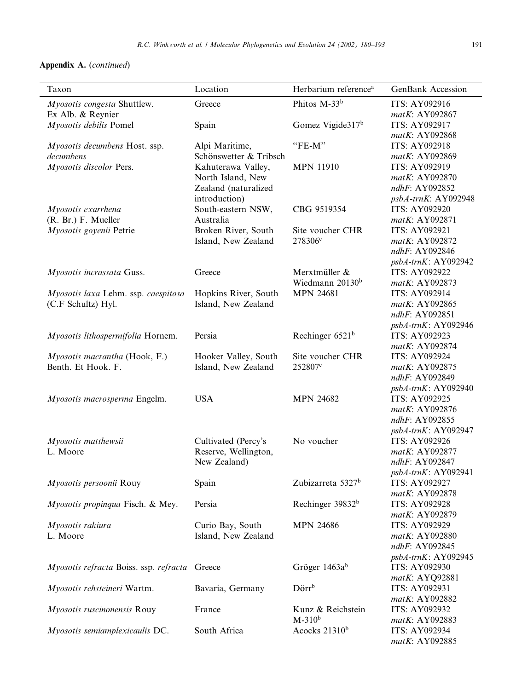# Appendix A. (continued)

| Taxon                                         | Location               | Herbarium reference <sup>a</sup> | GenBank Accession    |
|-----------------------------------------------|------------------------|----------------------------------|----------------------|
| Myosotis congesta Shuttlew.                   | Greece                 | Phitos M-33 <sup>b</sup>         | ITS: AY092916        |
| Ex Alb. & Reynier                             |                        |                                  | matK: AY092867       |
| Myosotis debilis Pomel                        | Spain                  | Gomez Vigide317 <sup>b</sup>     | ITS: AY092917        |
|                                               |                        |                                  | matK: AY092868       |
| Myosotis decumbens Host. ssp.                 | Alpi Maritime,         | $"FE-M"$                         | ITS: AY092918        |
| decumbens                                     | Schönswetter & Tribsch |                                  | matK: AY092869       |
| Myosotis discolor Pers.                       | Kahuterawa Valley,     | <b>MPN 11910</b>                 | ITS: AY092919        |
|                                               | North Island, New      |                                  | matK: AY092870       |
|                                               | Zealand (naturalized   |                                  | ndhF: AY092852       |
|                                               | introduction)          |                                  | psbA-trnK: AY092948  |
| Myosotis exarrhena                            | South-eastern NSW,     | CBG 9519354                      | <b>ITS: AY092920</b> |
| (R. Br.) F. Mueller                           | Australia              |                                  | matK: AY092871       |
| Myosotis goyenii Petrie                       | Broken River, South    | Site voucher CHR                 | <b>ITS: AY092921</b> |
|                                               | Island, New Zealand    | 278306 <sup>c</sup>              | matK: AY092872       |
|                                               |                        |                                  | ndhF: AY092846       |
|                                               |                        |                                  | psbA-trnK: AY092942  |
| Myosotis incrassata Guss.                     | Greece                 | Merxtmüller &                    | <b>ITS: AY092922</b> |
|                                               |                        | Wiedmann 20130 <sup>b</sup>      | matK: AY092873       |
| Myosotis laxa Lehm. ssp. caespitosa           | Hopkins River, South   | <b>MPN 24681</b>                 | ITS: AY092914        |
| (C.F Schultz) Hyl.                            | Island, New Zealand    |                                  | matK: AY092865       |
|                                               |                        |                                  | ndhF: AY092851       |
|                                               |                        |                                  | psbA-trnK: AY092946  |
| Myosotis lithospermifolia Hornem.             | Persia                 | Rechinger $6521b$                | ITS: AY092923        |
|                                               |                        |                                  | matK: AY092874       |
| Myosotis macrantha (Hook, F.)                 | Hooker Valley, South   | Site voucher CHR                 | <b>ITS: AY092924</b> |
| Benth. Et Hook. F.                            | Island, New Zealand    | 252807c                          | matK: AY092875       |
|                                               |                        |                                  | ndhF: AY092849       |
|                                               |                        |                                  | psbA-trnK: AY092940  |
| Myosotis macrosperma Engelm.                  | <b>USA</b>             | <b>MPN 24682</b>                 | ITS: AY092925        |
|                                               |                        |                                  | matK: AY092876       |
|                                               |                        |                                  | ndhF: AY092855       |
|                                               |                        |                                  | psbA-trnK: AY092947  |
| Myosotis matthewsii                           | Cultivated (Percy's    | No voucher                       | <b>ITS: AY092926</b> |
| L. Moore                                      | Reserve, Wellington,   |                                  | matK: AY092877       |
|                                               | New Zealand)           |                                  | ndhF: AY092847       |
|                                               |                        |                                  | psbA-trnK: AY092941  |
| Myosotis persoonii Rouy                       | Spain                  | Zubizarreta 5327 <sup>b</sup>    | <b>ITS: AY092927</b> |
|                                               |                        |                                  | matK: AY092878       |
| Myosotis propinqua Fisch. & Mey.              | Persia                 | Rechinger 39832 <sup>b</sup>     | <b>ITS: AY092928</b> |
|                                               |                        |                                  | matK: AY092879       |
| Myosotis rakiura                              | Curio Bay, South       | <b>MPN 24686</b>                 | ITS: AY092929        |
| L. Moore                                      | Island, New Zealand    |                                  | matK: AY092880       |
|                                               |                        |                                  | ndhF: AY092845       |
|                                               |                        |                                  | psbA-trnK: AY092945  |
| Myosotis refracta Boiss. ssp. refracta Greece |                        | Gröger 1463ab                    | <b>ITS: AY092930</b> |
|                                               |                        |                                  | matK: AYQ92881       |
| Myosotis rehsteineri Wartm.                   | Bavaria, Germany       | Dörrb                            | <b>ITS: AY092931</b> |
|                                               |                        |                                  | matK: AY092882       |
| Myosotis ruscinonensis Rouy                   | France                 | Kunz & Reichstein                | ITS: AY092932        |
|                                               |                        | $M-310b$                         | matK: AY092883       |
|                                               | South Africa           | Acocks 21310 <sup>b</sup>        | ITS: AY092934        |
| Myosotis semiamplexicaulis DC.                |                        |                                  |                      |
|                                               |                        |                                  | matK: AY092885       |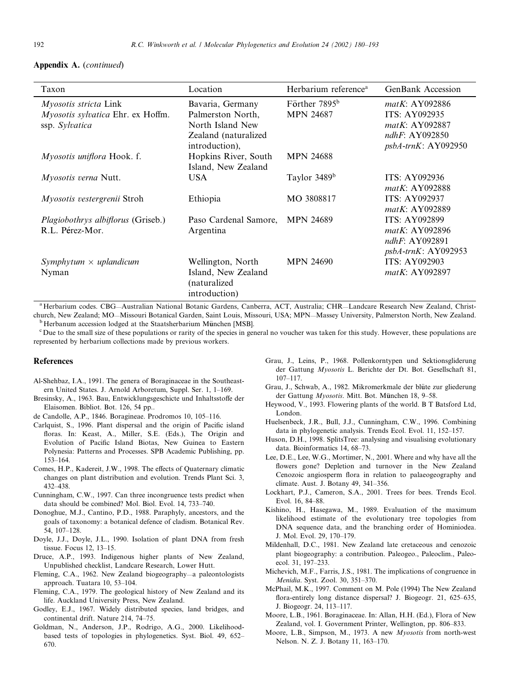# Appendix A. (continued)

| Taxon                                                                        | Location                                                                                            | Herbarium reference <sup>a</sup>              | <b>GenBank Accession</b>                                                                                       |
|------------------------------------------------------------------------------|-----------------------------------------------------------------------------------------------------|-----------------------------------------------|----------------------------------------------------------------------------------------------------------------|
| Myosotis stricta Link<br>Myosotis sylvatica Ehr. ex Hoffm.<br>ssp. Sylvatica | Bavaria, Germany<br>Palmerston North,<br>North Island New<br>Zealand (naturalized<br>introduction), | Förther 7895 <sup>b</sup><br><b>MPN 24687</b> | matK: AY092886<br><b>ITS: AY092935</b><br><i>matK</i> : AY092887<br>ndhF: $AY092850$<br>$psbA-trnK$ : AY092950 |
| <i>Myosotis uniflora</i> Hook. f.                                            | Hopkins River, South<br>Island, New Zealand                                                         | <b>MPN 24688</b>                              |                                                                                                                |
| <i>Myosotis verna</i> Nutt.                                                  | <b>USA</b>                                                                                          | Taylor 3489 <sup>b</sup>                      | <b>ITS: AY092936</b><br>$matK:$ AY092888                                                                       |
| <i>Myosotis vestergrenii</i> Stroh                                           | Ethiopia                                                                                            | MO 3808817                                    | <b>ITS: AY092937</b><br>$matK:$ AY092889                                                                       |
| Plagiobothrys albiflorus (Griseb.)<br>R.L. Pérez-Mor.                        | Paso Cardenal Samore,<br>Argentina                                                                  | <b>MPN 24689</b>                              | <b>ITS: AY092899</b><br><i>matK</i> : AY092896<br>ndhF: AY092891<br>$psbA-trnK$ : AY092953                     |
| Symphytum $\times$ uplandicum<br>Nyman                                       | Wellington, North<br>Island, New Zealand<br>(naturalized<br>introduction)                           | <b>MPN 24690</b>                              | <b>ITS: AY092903</b><br>matK: AY092897                                                                         |

<sup>a</sup> Herbarium codes. CBG—Australian National Botanic Gardens, Canberra, ACT, Australia; CHR—Landcare Research New Zealand, Christchurch, New Zealand; MO—Missouri Botanical Garden, Saint Louis, Missouri, USA; MPN—Massey University, Palmerston North, New Zealand. b Herbanum accession lodged at the Staatsherbarium München [MSB].

 $\rm^c$  Due to the small size of these populations or rarity of the species in general no voucher was taken for this study. However, these populations are represented by herbarium collections made by previous workers.

#### References

- Al-Shehbaz, I.A., 1991. The genera of Boraginaceae in the Southeastern United States. J. Arnold Arboretum, Suppl. Ser. 1, 1–169.
- Bresinsky, A., 1963. Bau, Entwicklungsgeschicte und Inhaltsstoffe der Elaisomen. Bibliot. Bot. 126, 54 pp..
- de Candolle, A.P., 1846. Boragineae. Prodromos 10, 105–116.
- Carlquist, S., 1996. Plant dispersal and the origin of Pacific island floras. In: Keast, A., Miller, S.E. (Eds.), The Origin and Evolution of Pacific Island Biotas, New Guinea to Eastern Polynesia: Patterns and Processes. SPB Academic Publishing, pp. 153–164.
- Comes, H.P., Kadereit, J.W., 1998. The effects of Quaternary climatic changes on plant distribution and evolution. Trends Plant Sci. 3, 432–438.
- Cunningham, C.W., 1997. Can three incongruence tests predict when data should be combined? Mol. Biol. Evol. 14, 733–740.
- Donoghue, M.J., Cantino, P.D., 1988. Paraphyly, ancestors, and the goals of taxonomy: a botanical defence of cladism. Botanical Rev. 54, 107–128.
- Doyle, J.J., Doyle, J.L., 1990. Isolation of plant DNA from fresh tissue. Focus 12, 13–15.
- Druce, A.P., 1993. Indigenous higher plants of New Zealand, Unpublished checklist, Landcare Research, Lower Hutt.
- Fleming, C.A., 1962. New Zealand biogeography—a paleontologists approach. Tuatara 10, 53–104.
- Fleming, C.A., 1979. The geological history of New Zealand and its life. Auckland University Press, New Zealand.
- Godley, E.J., 1967. Widely distributed species, land bridges, and continental drift. Nature 214, 74–75.
- Goldman, N., Anderson, J.P., Rodrigo, A.G., 2000. Likelihoodbased tests of topologies in phylogenetics. Syst. Biol. 49, 652– 670.
- Grau, J., Leins, P., 1968. Pollenkorntypen und Sektionsgliderung der Gattung Myosotis L. Berichte der Dt. Bot. Gesellschaft 81, 107–117.
- Grau, J., Schwab, A., 1982. Mikromerkmale der blüte zur gliederung der Gattung Myosotis. Mitt. Bot. München 18, 9–58.
- Heywood, V., 1993. Flowering plants of the world. B T Batsford Ltd, London.
- Huelsenbeck, J.R., Bull, J.J., Cunningham, C.W., 1996. Combining data in phylogenetic analysis. Trends Ecol. Evol. 11, 152–157.
- Huson, D.H., 1998. SplitsTree: analysing and visualising evolutionary data. Bioinformatics 14, 68–73.
- Lee, D.E., Lee, W.G., Mortimer, N., 2001. Where and why have all the flowers gone? Depletion and turnover in the New Zealand Cenozoic angiosperm flora in relation to palaeogeography and climate. Aust. J. Botany 49, 341–356.
- Lockhart, P.J., Cameron, S.A., 2001. Trees for bees. Trends Ecol. Evol. 16, 84–88.
- Kishino, H., Hasegawa, M., 1989. Evaluation of the maximum likelihood estimate of the evolutionary tree topologies from DNA sequence data, and the branching order of Hominiodea. J. Mol. Evol. 29, 170–179.
- Mildenhall, D.C., 1981. New Zealand late cretaceous and cenozoic plant biogeography: a contribution. Paleogeo., Paleoclim., Paleoecol. 31, 197–233.
- Michevich, M.F., Farris, J.S., 1981. The implications of congruence in Menidia. Syst. Zool. 30, 351–370.
- McPhail, M.K., 1997. Comment on M. Pole (1994) The New Zealand flora-entirely long distance dispersal? J. Biogeogr. 21, 625–635, J. Biogeogr. 24, 113–117.
- Moore, L.B., 1961. Boraginaceae. In: Allan, H.H. (Ed.), Flora of New Zealand, vol. I. Government Printer, Wellington, pp. 806–833.
- Moore, L.B., Simpson, M., 1973. A new Myosotis from north-west Nelson. N. Z. J. Botany 11, 163–170.